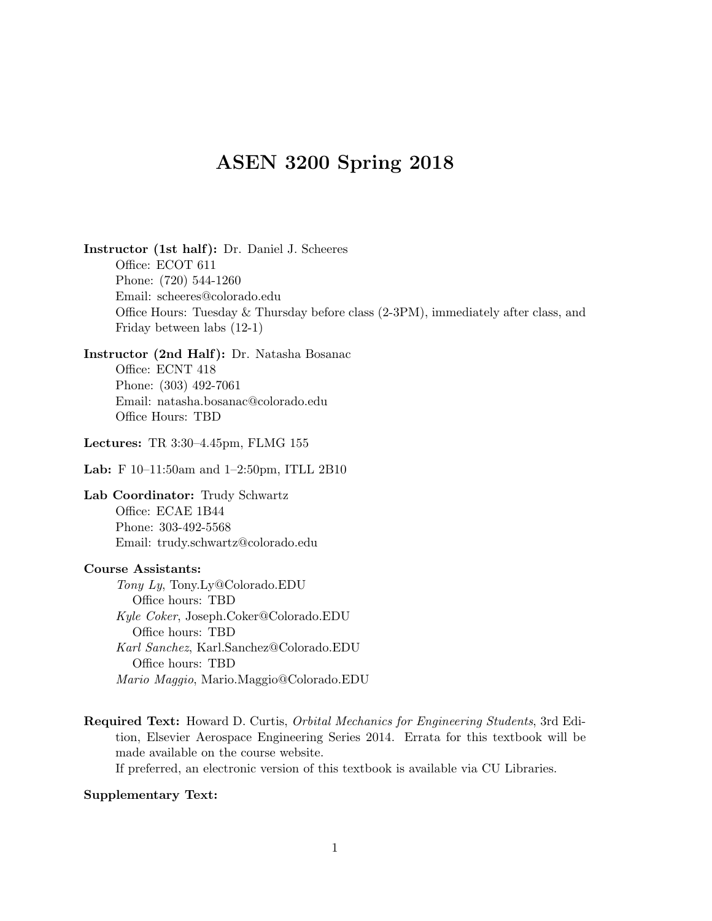## ASEN 3200 Spring 2018

Instructor (1st half): Dr. Daniel J. Scheeres Office: ECOT 611 Phone: (720) 544-1260 Email: scheeres@colorado.edu Office Hours: Tuesday & Thursday before class (2-3PM), immediately after class, and Friday between labs (12-1)

Instructor (2nd Half): Dr. Natasha Bosanac Office: ECNT 418 Phone: (303) 492-7061 Email: natasha.bosanac@colorado.edu Office Hours: TBD

Lectures: TR 3:30–4.45pm, FLMG 155

Lab: F 10–11:50am and 1–2:50pm, ITLL 2B10

Lab Coordinator: Trudy Schwartz Office: ECAE 1B44 Phone: 303-492-5568 Email: trudy.schwartz@colorado.edu

## Course Assistants:

Tony Ly, Tony.Ly@Colorado.EDU Office hours: TBD Kyle Coker, Joseph.Coker@Colorado.EDU Office hours: TBD Karl Sanchez, Karl.Sanchez@Colorado.EDU Office hours: TBD Mario Maggio, Mario.Maggio@Colorado.EDU

Required Text: Howard D. Curtis, Orbital Mechanics for Engineering Students, 3rd Edition, Elsevier Aerospace Engineering Series 2014. Errata for this textbook will be made available on the course website.

If preferred, an electronic version of this textbook is available via CU Libraries.

## Supplementary Text: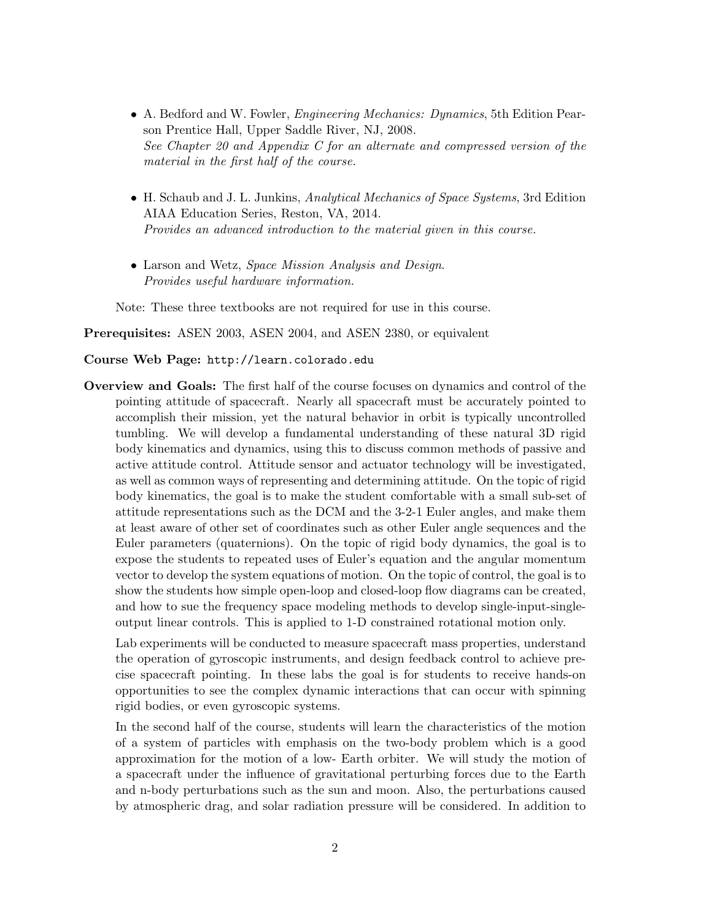- A. Bedford and W. Fowler, Engineering Mechanics: Dynamics, 5th Edition Pearson Prentice Hall, Upper Saddle River, NJ, 2008. See Chapter 20 and Appendix C for an alternate and compressed version of the material in the first half of the course.
- H. Schaub and J. L. Junkins, Analytical Mechanics of Space Systems, 3rd Edition AIAA Education Series, Reston, VA, 2014. Provides an advanced introduction to the material given in this course.
- Larson and Wetz, *Space Mission Analysis and Design*. Provides useful hardware information.

Note: These three textbooks are not required for use in this course.

Prerequisites: ASEN 2003, ASEN 2004, and ASEN 2380, or equivalent

## Course Web Page: http://learn.colorado.edu

Overview and Goals: The first half of the course focuses on dynamics and control of the pointing attitude of spacecraft. Nearly all spacecraft must be accurately pointed to accomplish their mission, yet the natural behavior in orbit is typically uncontrolled tumbling. We will develop a fundamental understanding of these natural 3D rigid body kinematics and dynamics, using this to discuss common methods of passive and active attitude control. Attitude sensor and actuator technology will be investigated, as well as common ways of representing and determining attitude. On the topic of rigid body kinematics, the goal is to make the student comfortable with a small sub-set of attitude representations such as the DCM and the 3-2-1 Euler angles, and make them at least aware of other set of coordinates such as other Euler angle sequences and the Euler parameters (quaternions). On the topic of rigid body dynamics, the goal is to expose the students to repeated uses of Euler's equation and the angular momentum vector to develop the system equations of motion. On the topic of control, the goal is to show the students how simple open-loop and closed-loop flow diagrams can be created, and how to sue the frequency space modeling methods to develop single-input-singleoutput linear controls. This is applied to 1-D constrained rotational motion only.

Lab experiments will be conducted to measure spacecraft mass properties, understand the operation of gyroscopic instruments, and design feedback control to achieve precise spacecraft pointing. In these labs the goal is for students to receive hands-on opportunities to see the complex dynamic interactions that can occur with spinning rigid bodies, or even gyroscopic systems.

In the second half of the course, students will learn the characteristics of the motion of a system of particles with emphasis on the two-body problem which is a good approximation for the motion of a low- Earth orbiter. We will study the motion of a spacecraft under the influence of gravitational perturbing forces due to the Earth and n-body perturbations such as the sun and moon. Also, the perturbations caused by atmospheric drag, and solar radiation pressure will be considered. In addition to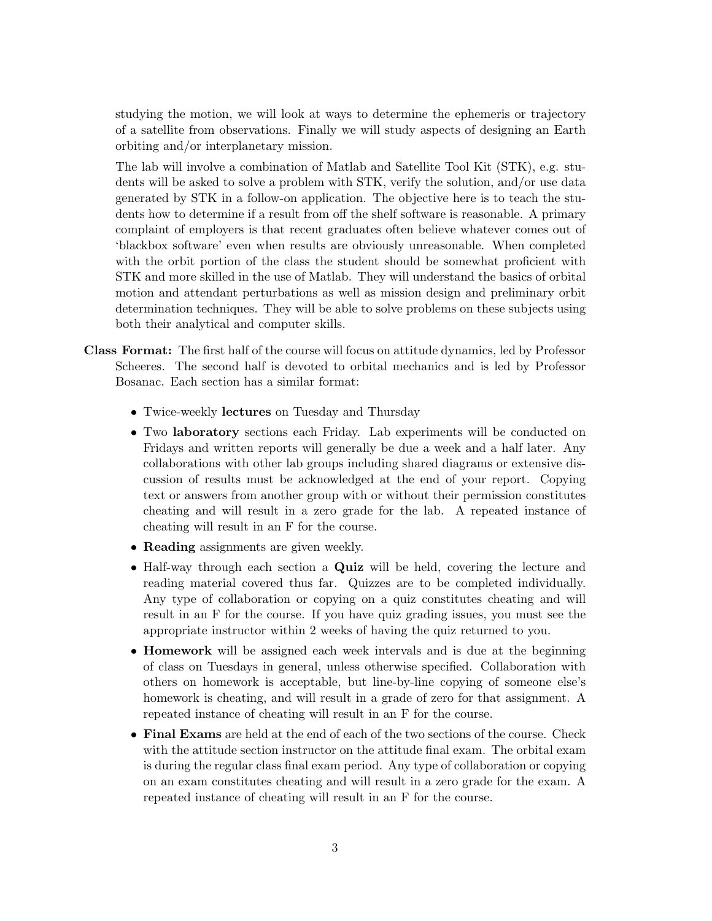studying the motion, we will look at ways to determine the ephemeris or trajectory of a satellite from observations. Finally we will study aspects of designing an Earth orbiting and/or interplanetary mission.

The lab will involve a combination of Matlab and Satellite Tool Kit (STK), e.g. students will be asked to solve a problem with STK, verify the solution, and/or use data generated by STK in a follow-on application. The objective here is to teach the students how to determine if a result from off the shelf software is reasonable. A primary complaint of employers is that recent graduates often believe whatever comes out of 'blackbox software' even when results are obviously unreasonable. When completed with the orbit portion of the class the student should be somewhat proficient with STK and more skilled in the use of Matlab. They will understand the basics of orbital motion and attendant perturbations as well as mission design and preliminary orbit determination techniques. They will be able to solve problems on these subjects using both their analytical and computer skills.

- Class Format: The first half of the course will focus on attitude dynamics, led by Professor Scheeres. The second half is devoted to orbital mechanics and is led by Professor Bosanac. Each section has a similar format:
	- Twice-weekly lectures on Tuesday and Thursday
	- Two laboratory sections each Friday. Lab experiments will be conducted on Fridays and written reports will generally be due a week and a half later. Any collaborations with other lab groups including shared diagrams or extensive discussion of results must be acknowledged at the end of your report. Copying text or answers from another group with or without their permission constitutes cheating and will result in a zero grade for the lab. A repeated instance of cheating will result in an F for the course.
	- Reading assignments are given weekly.
	- Half-way through each section a **Quiz** will be held, covering the lecture and reading material covered thus far. Quizzes are to be completed individually. Any type of collaboration or copying on a quiz constitutes cheating and will result in an F for the course. If you have quiz grading issues, you must see the appropriate instructor within 2 weeks of having the quiz returned to you.
	- Homework will be assigned each week intervals and is due at the beginning of class on Tuesdays in general, unless otherwise specified. Collaboration with others on homework is acceptable, but line-by-line copying of someone else's homework is cheating, and will result in a grade of zero for that assignment. A repeated instance of cheating will result in an F for the course.
	- Final Exams are held at the end of each of the two sections of the course. Check with the attitude section instructor on the attitude final exam. The orbital exam is during the regular class final exam period. Any type of collaboration or copying on an exam constitutes cheating and will result in a zero grade for the exam. A repeated instance of cheating will result in an F for the course.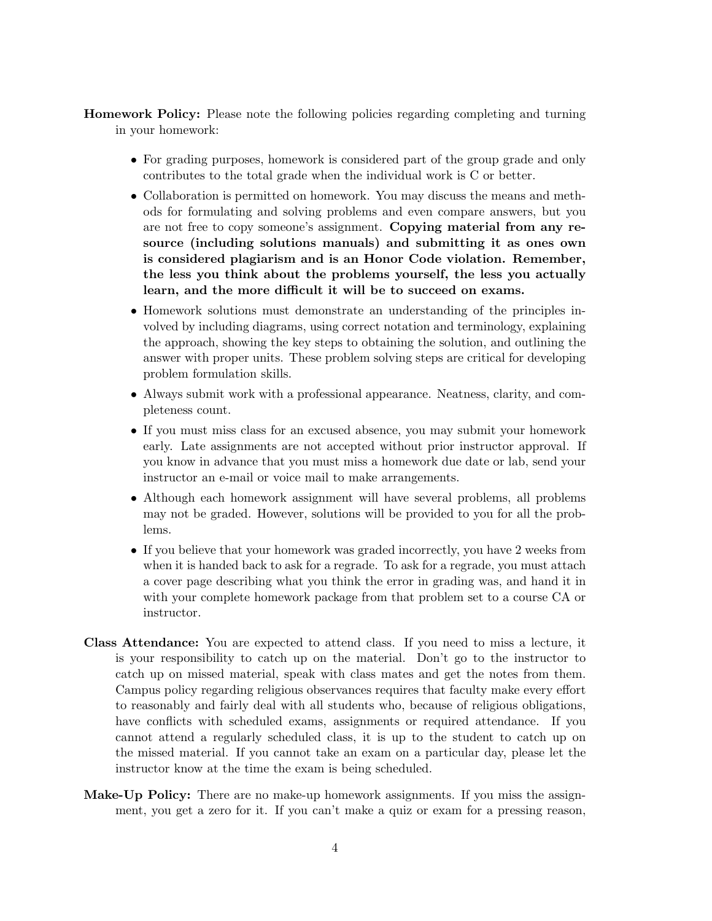Homework Policy: Please note the following policies regarding completing and turning in your homework:

- For grading purposes, homework is considered part of the group grade and only contributes to the total grade when the individual work is C or better.
- Collaboration is permitted on homework. You may discuss the means and methods for formulating and solving problems and even compare answers, but you are not free to copy someone's assignment. Copying material from any resource (including solutions manuals) and submitting it as ones own is considered plagiarism and is an Honor Code violation. Remember, the less you think about the problems yourself, the less you actually learn, and the more difficult it will be to succeed on exams.
- Homework solutions must demonstrate an understanding of the principles involved by including diagrams, using correct notation and terminology, explaining the approach, showing the key steps to obtaining the solution, and outlining the answer with proper units. These problem solving steps are critical for developing problem formulation skills.
- Always submit work with a professional appearance. Neatness, clarity, and completeness count.
- If you must miss class for an excused absence, you may submit your homework early. Late assignments are not accepted without prior instructor approval. If you know in advance that you must miss a homework due date or lab, send your instructor an e-mail or voice mail to make arrangements.
- Although each homework assignment will have several problems, all problems may not be graded. However, solutions will be provided to you for all the problems.
- If you believe that your homework was graded incorrectly, you have 2 weeks from when it is handed back to ask for a regrade. To ask for a regrade, you must attach a cover page describing what you think the error in grading was, and hand it in with your complete homework package from that problem set to a course CA or instructor.
- Class Attendance: You are expected to attend class. If you need to miss a lecture, it is your responsibility to catch up on the material. Don't go to the instructor to catch up on missed material, speak with class mates and get the notes from them. Campus policy regarding religious observances requires that faculty make every effort to reasonably and fairly deal with all students who, because of religious obligations, have conflicts with scheduled exams, assignments or required attendance. If you cannot attend a regularly scheduled class, it is up to the student to catch up on the missed material. If you cannot take an exam on a particular day, please let the instructor know at the time the exam is being scheduled.
- Make-Up Policy: There are no make-up homework assignments. If you miss the assignment, you get a zero for it. If you can't make a quiz or exam for a pressing reason,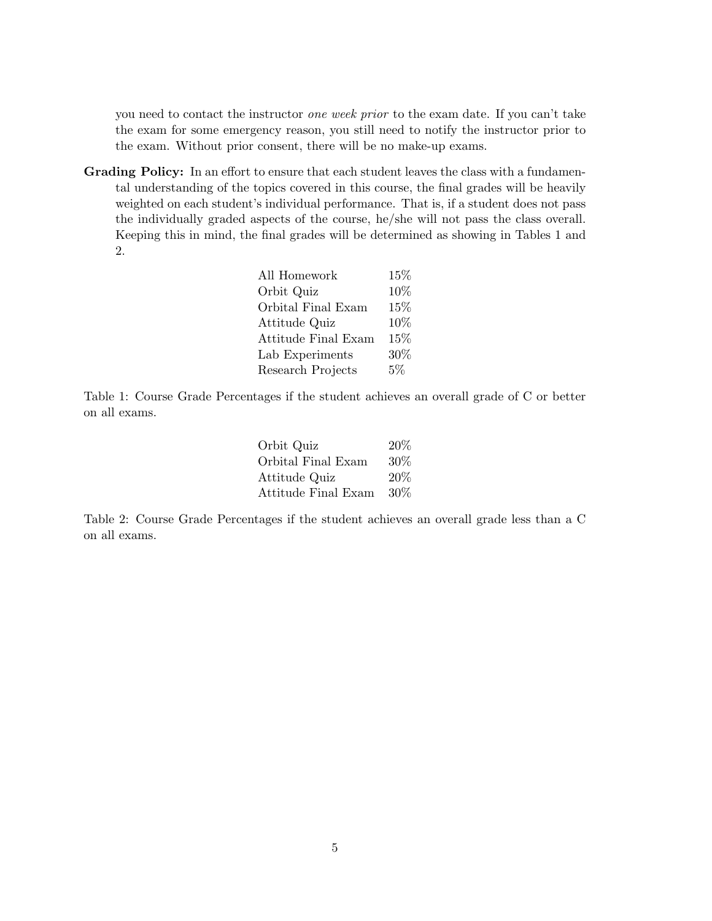you need to contact the instructor one week prior to the exam date. If you can't take the exam for some emergency reason, you still need to notify the instructor prior to the exam. Without prior consent, there will be no make-up exams.

Grading Policy: In an effort to ensure that each student leaves the class with a fundamental understanding of the topics covered in this course, the final grades will be heavily weighted on each student's individual performance. That is, if a student does not pass the individually graded aspects of the course, he/she will not pass the class overall. Keeping this in mind, the final grades will be determined as showing in Tables 1 and 2.

| All Homework               | 15%   |
|----------------------------|-------|
| Orbit Quiz                 | 10%   |
| Orbital Final Exam         | 15%   |
| Attitude Quiz              | 10%   |
| <b>Attitude Final Exam</b> | 15%   |
| Lab Experiments            | 30%   |
| Research Projects          | $5\%$ |

Table 1: Course Grade Percentages if the student achieves an overall grade of C or better on all exams.

| Orbit Quiz          | 20%    |
|---------------------|--------|
| Orbital Final Exam  | $30\%$ |
| Attitude Quiz       | 20%    |
| Attitude Final Exam | $30\%$ |

Table 2: Course Grade Percentages if the student achieves an overall grade less than a C on all exams.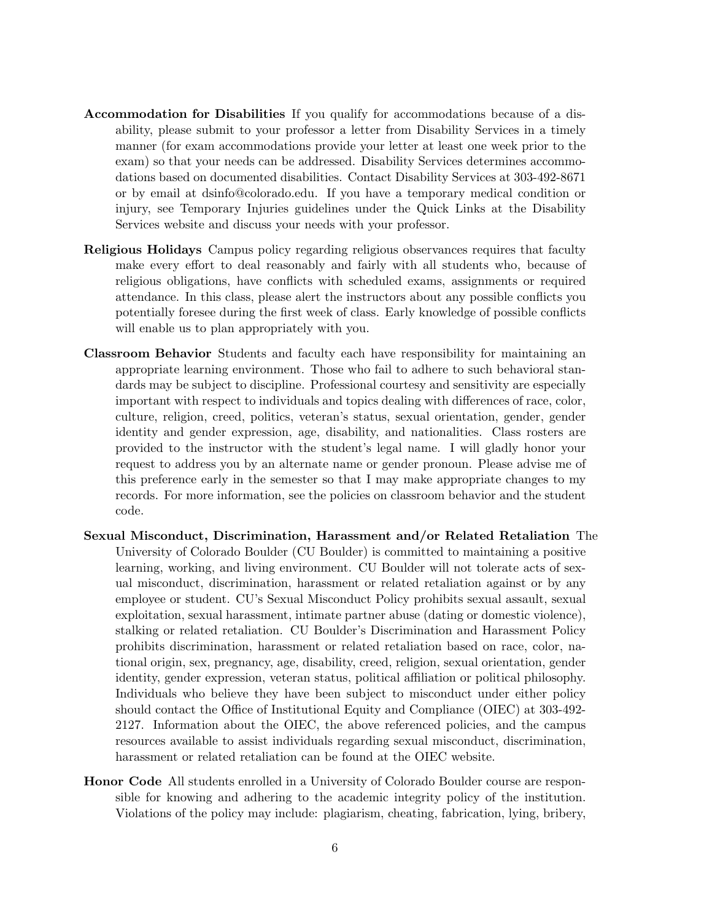- Accommodation for Disabilities If you qualify for accommodations because of a disability, please submit to your professor a letter from Disability Services in a timely manner (for exam accommodations provide your letter at least one week prior to the exam) so that your needs can be addressed. Disability Services determines accommodations based on documented disabilities. Contact Disability Services at 303-492-8671 or by email at dsinfo@colorado.edu. If you have a temporary medical condition or injury, see Temporary Injuries guidelines under the Quick Links at the Disability Services website and discuss your needs with your professor.
- Religious Holidays Campus policy regarding religious observances requires that faculty make every effort to deal reasonably and fairly with all students who, because of religious obligations, have conflicts with scheduled exams, assignments or required attendance. In this class, please alert the instructors about any possible conflicts you potentially foresee during the first week of class. Early knowledge of possible conflicts will enable us to plan appropriately with you.
- Classroom Behavior Students and faculty each have responsibility for maintaining an appropriate learning environment. Those who fail to adhere to such behavioral standards may be subject to discipline. Professional courtesy and sensitivity are especially important with respect to individuals and topics dealing with differences of race, color, culture, religion, creed, politics, veteran's status, sexual orientation, gender, gender identity and gender expression, age, disability, and nationalities. Class rosters are provided to the instructor with the student's legal name. I will gladly honor your request to address you by an alternate name or gender pronoun. Please advise me of this preference early in the semester so that I may make appropriate changes to my records. For more information, see the policies on classroom behavior and the student code.
- Sexual Misconduct, Discrimination, Harassment and/or Related Retaliation The University of Colorado Boulder (CU Boulder) is committed to maintaining a positive learning, working, and living environment. CU Boulder will not tolerate acts of sexual misconduct, discrimination, harassment or related retaliation against or by any employee or student. CU's Sexual Misconduct Policy prohibits sexual assault, sexual exploitation, sexual harassment, intimate partner abuse (dating or domestic violence), stalking or related retaliation. CU Boulder's Discrimination and Harassment Policy prohibits discrimination, harassment or related retaliation based on race, color, national origin, sex, pregnancy, age, disability, creed, religion, sexual orientation, gender identity, gender expression, veteran status, political affiliation or political philosophy. Individuals who believe they have been subject to misconduct under either policy should contact the Office of Institutional Equity and Compliance (OIEC) at 303-492- 2127. Information about the OIEC, the above referenced policies, and the campus resources available to assist individuals regarding sexual misconduct, discrimination, harassment or related retaliation can be found at the OIEC website.
- Honor Code All students enrolled in a University of Colorado Boulder course are responsible for knowing and adhering to the academic integrity policy of the institution. Violations of the policy may include: plagiarism, cheating, fabrication, lying, bribery,